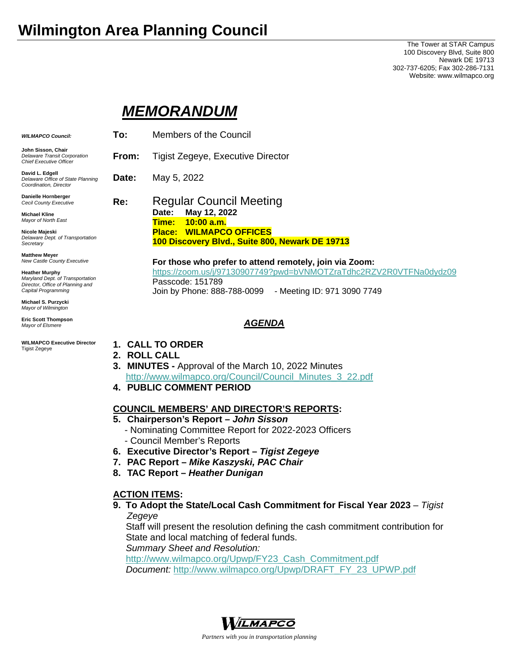# **Wilmington Area Planning Council**

**Michael S.** *Mayor of Wilmington* **Eric Scott Thompson**  *Mayor of Elsmere* 

Tigist Zegeye

**WILMAPCO Executive Director** 

The Tower at STAR Campus 100 Discovery Blvd, Suite 800 Newark DE 19713 302-737-6205; Fax 302-286-7131 Website: www.wilmapco.org

# *MEMORANDUM*

| <b>WILMAPCO Council:</b>                                                                                             | To:   | Members of the Council                                                                                                                               |
|----------------------------------------------------------------------------------------------------------------------|-------|------------------------------------------------------------------------------------------------------------------------------------------------------|
| John Sisson, Chair<br>Delaware Transit Corporation<br><b>Chief Executive Officer</b>                                 | From: | <b>Tigist Zegeye, Executive Director</b>                                                                                                             |
| David L. Edgell<br>Delaware Office of State Planning<br>Coordination, Director                                       | Date: | May 5, 2022                                                                                                                                          |
| Danielle Hornberger<br>Cecil County Executive                                                                        | Re:   | <b>Regular Council Meeting</b>                                                                                                                       |
| <b>Michael Kline</b><br>Mayor of North East                                                                          |       | May 12, 2022<br>Date:<br>10:00 a.m.<br>Time:                                                                                                         |
| Nicole Majeski<br>Delaware Dept. of Transportation<br>Secretary                                                      |       | <b>Place: WILMAPCO OFFICES</b><br>100 Discovery Blvd., Suite 800, Newark DE 19713                                                                    |
| <b>Matthew Meyer</b><br>New Castle County Executive                                                                  |       | For those who prefer to attend remotely, join via Zoom:                                                                                              |
| <b>Heather Murphy</b><br>Maryland Dept. of Transportation<br>Director, Office of Planning and<br>Capital Programming |       | https://zoom.us/j/97130907749?pwd=bVNMOTZraTdhc2RZV2R0VTFNa0dydz09<br>Passcode: 151789<br>Join by Phone: 888-788-0099<br>- Meeting ID: 971 3090 7749 |
| Michael S. Purzycki                                                                                                  |       |                                                                                                                                                      |

# *AGENDA*

- **1. CALL TO ORDER** 
	- **2. ROLL CALL**
	- **3. MINUTES** Approval of the March 10, 2022 Minutes http://www.wilmapco.org/Council/Council\_Minutes\_3\_22.pdf
	- **4. PUBLIC COMMENT PERIOD**

# **COUNCIL MEMBERS' AND DIRECTOR'S REPORTS:**

- **5. Chairperson's Report** *John Sisson*
	- Nominating Committee Report for 2022-2023 Officers - Council Member's Reports
- **6. Executive Director's Report** *Tigist Zegeye*
- **7. PAC Report** *Mike Kaszyski, PAC Chair*
- **8. TAC Report** *Heather Dunigan*

# **ACTION ITEMS:**

**9. To Adopt the State/Local Cash Commitment for Fiscal Year 2023** – *Tigist Zegeye*

Staff will present the resolution defining the cash commitment contribution for State and local matching of federal funds.

*Summary Sheet and Resolution:* 

http://www.wilmapco.org/Upwp/FY23\_Cash\_Commitment.pdf

*Document:* http://www.wilmapco.org/Upwp/DRAFT\_FY\_23\_UPWP.pdf



*Partners with you in transportation planning*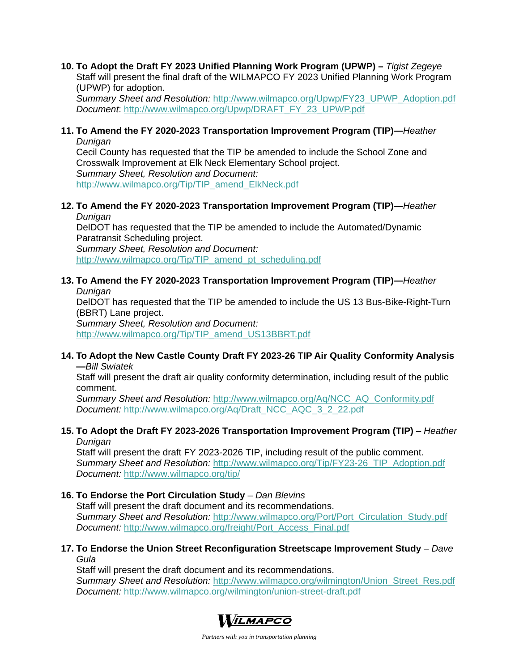# **10. To Adopt the Draft FY 2023 Unified Planning Work Program (UPWP) –** *Tigist Zegeye*

Staff will present the final draft of the WILMAPCO FY 2023 Unified Planning Work Program (UPWP) for adoption.

*Summary Sheet and Resolution:* http://www.wilmapco.org/Upwp/FY23\_UPWP\_Adoption.pdf *Document*: http://www.wilmapco.org/Upwp/DRAFT\_FY\_23\_UPWP.pdf

#### **11. To Amend the FY 2020-2023 Transportation Improvement Program (TIP)—***Heather Dunigan*

Cecil County has requested that the TIP be amended to include the School Zone and Crosswalk Improvement at Elk Neck Elementary School project. *Summary Sheet, Resolution and Document:*  http://www.wilmapco.org/Tip/TIP\_amend\_ElkNeck.pdf

# **12. To Amend the FY 2020-2023 Transportation Improvement Program (TIP)—***Heather*

*Dunigan*

DelDOT has requested that the TIP be amended to include the Automated/Dynamic Paratransit Scheduling project. *Summary Sheet, Resolution and Document:*  http://www.wilmapco.org/Tip/TIP\_amend\_pt\_scheduling.pdf

## **13. To Amend the FY 2020-2023 Transportation Improvement Program (TIP)—***Heather Dunigan*

DelDOT has requested that the TIP be amended to include the US 13 Bus-Bike-Right-Turn (BBRT) Lane project.

*Summary Sheet, Resolution and Document:*  http://www.wilmapco.org/Tip/TIP\_amend\_US13BBRT.pdf

## **14. To Adopt the New Castle County Draft FY 2023-26 TIP Air Quality Conformity Analysis —***Bill Swiatek*

Staff will present the draft air quality conformity determination, including result of the public comment.

*Summary Sheet and Resolution:* http://www.wilmapco.org/Aq/NCC\_AQ\_Conformity.pdf *Document:* http://www.wilmapco.org/Aq/Draft\_NCC\_AQC\_3\_2\_22.pdf

#### **15. To Adopt the Draft FY 2023-2026 Transportation Improvement Program (TIP)** *– Heather Dunigan*

Staff will present the draft FY 2023-2026 TIP, including result of the public comment. *Summary Sheet and Resolution:* http://www.wilmapco.org/Tip/FY23-26\_TIP\_Adoption.pdf *Document:* http://www.wilmapco.org/tip/

# **16. To Endorse the Port Circulation Study** – *Dan Blevins*

Staff will present the draft document and its recommendations. *Summary Sheet and Resolution:* http://www.wilmapco.org/Port/Port\_Circulation\_Study.pdf *Document:* http://www.wilmapco.org/freight/Port\_Access\_Final.pdf

# **17. To Endorse the Union Street Reconfiguration Streetscape Improvement Study** – *Dave Gula*

Staff will present the draft document and its recommendations. *Summary Sheet and Resolution:* http://www.wilmapco.org/wilmington/Union\_Street\_Res.pdf *Document:* http://www.wilmapco.org/wilmington/union-street-draft.pdf